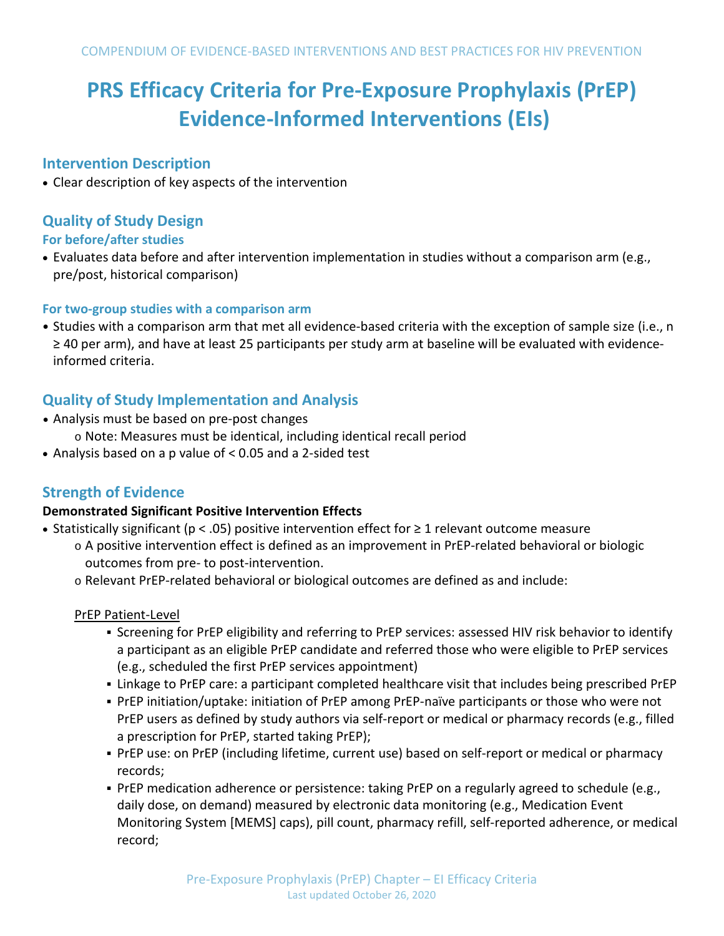# **PRS Efficacy Criteria for Pre-Exposure Prophylaxis (PrEP) Evidence-Informed Interventions (EIs)**

## **Intervention Description**

• Clear description of key aspects of the intervention

## **Quality of Study Design**

#### **For before/after studies**

• Evaluates data before and after intervention implementation in studies without a comparison arm (e.g., pre/post, historical comparison)

#### **For two-group studies with a comparison arm**

• Studies with a comparison arm that met all evidence-based criteria with the exception of sample size (i.e., n ≥ 40 per arm), and have at least 25 participants per study arm at baseline will be evaluated with evidenceinformed criteria.

## **Quality of Study Implementation and Analysis**

- Analysis must be based on pre-post changes
	- o Note: Measures must be identical, including identical recall period
- Analysis based on a p value of < 0.05 and a 2-sided test

## **Strength of Evidence**

#### **Demonstrated Significant Positive Intervention Effects**

- Statistically significant (p < .05) positive intervention effect for ≥ 1 relevant outcome measure
	- o A positive intervention effect is defined as an improvement in PrEP-related behavioral or biologic outcomes from pre- to post-intervention.
	- o Relevant PrEP-related behavioral or biological outcomes are defined as and include:

#### PrEP Patient-Level

- Screening for PrEP eligibility and referring to PrEP services: assessed HIV risk behavior to identify a participant as an eligible PrEP candidate and referred those who were eligible to PrEP services (e.g., scheduled the first PrEP services appointment)
- Linkage to PrEP care: a participant completed healthcare visit that includes being prescribed PrEP
- PrEP initiation/uptake: initiation of PrEP among PrEP-naïve participants or those who were not PrEP users as defined by study authors via self-report or medical or pharmacy records (e.g., filled a prescription for PrEP, started taking PrEP);
- PrEP use: on PrEP (including lifetime, current use) based on self-report or medical or pharmacy records;
- PrEP medication adherence or persistence: taking PrEP on a regularly agreed to schedule (e.g., daily dose, on demand) measured by electronic data monitoring (e.g., Medication Event Monitoring System [MEMS] caps), pill count, pharmacy refill, self-reported adherence, or medical record;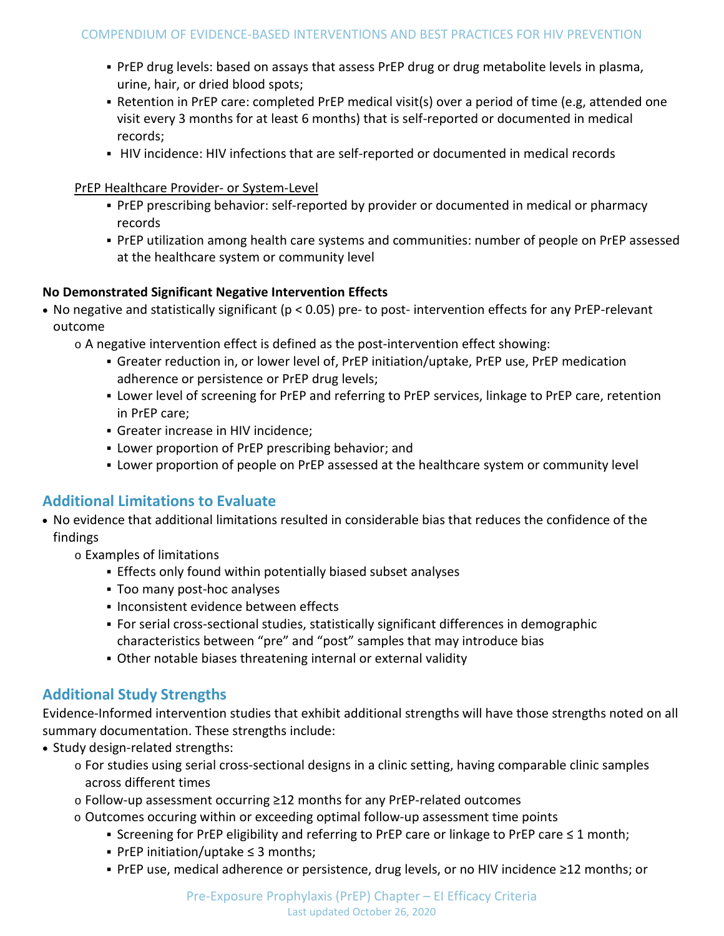- PrEP drug levels: based on assays that assess PrEP drug or drug metabolite levels in plasma, urine, hair, or dried blood spots;
- Retention in PrEP care: completed PrEP medical visit(s) over a period of time (e.g, attended one visit every 3 months for at least 6 months) that is self-reported or documented in medical records;
- HIV incidence: HIV infections that are self-reported or documented in medical records

#### PrEP Healthcare Provider- or System-Level

- PrEP prescribing behavior: self-reported by provider or documented in medical or pharmacy records
- PrEP utilization among health care systems and communities: number of people on PrEP assessed at the healthcare system or community level

#### **No Demonstrated Significant Negative Intervention Effects**

- No negative and statistically significant (p < 0.05) pre- to post- intervention effects for any PrEP-relevant outcome
	- o A negative intervention effect is defined as the post-intervention effect showing:
		- Greater reduction in, or lower level of, PrEP initiation/uptake, PrEP use, PrEP medication adherence or persistence or PrEP drug levels;
		- Lower level of screening for PrEP and referring to PrEP services, linkage to PrEP care, retention in PrEP care;
		- Greater increase in HIV incidence;
		- Lower proportion of PrEP prescribing behavior; and
		- Lower proportion of people on PrEP assessed at the healthcare system or community level

## **Additional Limitations to Evaluate**

- No evidence that additional limitations resulted in considerable bias that reduces the confidence of the findings
	- o Examples of limitations
		- Effects only found within potentially biased subset analyses
		- Too many post-hoc analyses
		- **Inconsistent evidence between effects**
		- For serial cross-sectional studies, statistically significant differences in demographic characteristics between "pre" and "post" samples that may introduce bias
		- Other notable biases threatening internal or external validity

## **Additional Study Strengths**

Evidence-Informed intervention studies that exhibit additional strengths will have those strengths noted on all summary documentation. These strengths include:

- Study design-related strengths:
	- o For studies using serial cross-sectional designs in a clinic setting, having comparable clinic samples across different times
	- o Follow-up assessment occurring ≥12 months for any PrEP-related outcomes
	- o Outcomes occuring within or exceeding optimal follow-up assessment time points
		- Screening for PrEP eligibility and referring to PrEP care or linkage to PrEP care ≤ 1 month;
		- PrEP initiation/uptake ≤ 3 months;
		- PrEP use, medical adherence or persistence, drug levels, or no HIV incidence ≥12 months; or